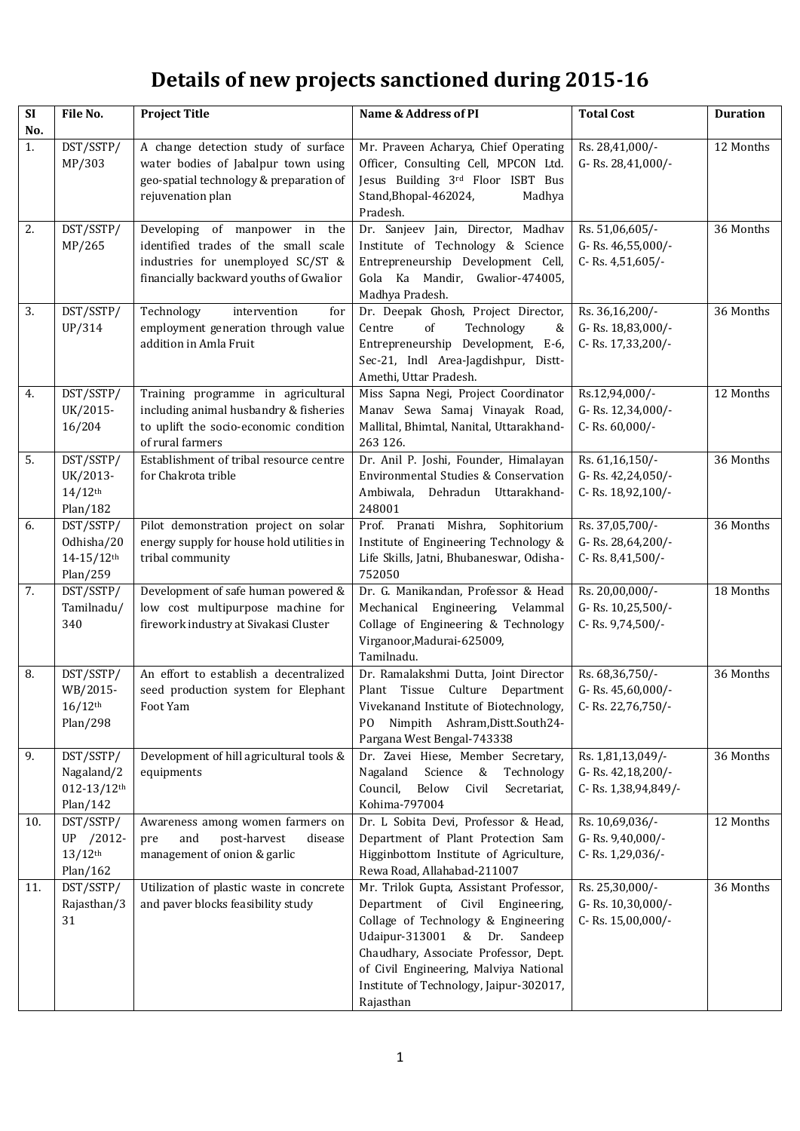## **Details of new projects sanctioned during 2015-16**

| $\overline{\text{SI}}$ | File No.                                                           | <b>Project Title</b>                                                                                                                                 | Name & Address of PI                                                                                                                                                                                                                                                                            | <b>Total Cost</b>                                             | <b>Duration</b> |
|------------------------|--------------------------------------------------------------------|------------------------------------------------------------------------------------------------------------------------------------------------------|-------------------------------------------------------------------------------------------------------------------------------------------------------------------------------------------------------------------------------------------------------------------------------------------------|---------------------------------------------------------------|-----------------|
| No.<br>1.              | DST/SSTP/<br>MP/303                                                | A change detection study of surface<br>water bodies of Jabalpur town using<br>geo-spatial technology & preparation of<br>rejuvenation plan           | Mr. Praveen Acharya, Chief Operating<br>Officer, Consulting Cell, MPCON Ltd.<br>Jesus Building 3rd Floor ISBT Bus<br>Stand, Bhopal-462024,<br>Madhya<br>Pradesh.                                                                                                                                | Rs. 28,41,000/-<br>G-Rs. 28,41,000/-                          | 12 Months       |
| 2.                     | DST/SSTP/<br>MP/265                                                | Developing of manpower in the<br>identified trades of the small scale<br>industries for unemployed SC/ST &<br>financially backward youths of Gwalior | Dr. Sanjeev Jain, Director, Madhav<br>Institute of Technology & Science<br>Entrepreneurship Development Cell,<br>Gola Ka Mandir, Gwalior-474005,<br>Madhya Pradesh.                                                                                                                             | Rs. 51,06,605/-<br>G-Rs. 46,55,000/-<br>C-Rs. 4,51,605/-      | 36 Months       |
| 3.                     | DST/SSTP/<br>UP/314                                                | Technology<br>intervention<br>for<br>employment generation through value<br>addition in Amla Fruit                                                   | Dr. Deepak Ghosh, Project Director,<br>of<br>Centre<br>Technology<br>&<br>Entrepreneurship Development, E-6,<br>Sec-21, Indl Area-Jagdishpur, Distt-<br>Amethi, Uttar Pradesh.                                                                                                                  | Rs. 36,16,200/-<br>G-Rs. 18,83,000/-<br>C-Rs. 17,33,200/-     | 36 Months       |
| 4.                     | DST/SSTP/<br>UK/2015-<br>16/204                                    | Training programme in agricultural<br>including animal husbandry & fisheries<br>to uplift the socio-economic condition<br>of rural farmers           | Miss Sapna Negi, Project Coordinator<br>Manav Sewa Samaj Vinayak Road,<br>Mallital, Bhimtal, Nanital, Uttarakhand-<br>263 126.                                                                                                                                                                  | Rs.12,94,000/-<br>G-Rs. 12,34,000/-<br>C-Rs. 60,000/-         | 12 Months       |
| 5.                     | DST/SSTP/<br>UK/2013-<br>$14/12$ <sup>th</sup><br>Plan/182         | Establishment of tribal resource centre<br>for Chakrota trible                                                                                       | Dr. Anil P. Joshi, Founder, Himalayan<br>Environmental Studies & Conservation<br>Ambiwala,<br>Uttarakhand-<br>Dehradun<br>248001                                                                                                                                                                | Rs. 61,16,150/-<br>G-Rs. 42,24,050/-<br>C-Rs. 18,92,100/-     | 36 Months       |
| 6.                     | DST/SSTP/<br>Odhisha/20<br>$14 - 15/12$ th<br>Plan/259             | Pilot demonstration project on solar<br>energy supply for house hold utilities in<br>tribal community                                                | Prof. Pranati Mishra, Sophitorium<br>Institute of Engineering Technology &<br>Life Skills, Jatni, Bhubaneswar, Odisha-<br>752050                                                                                                                                                                | Rs. 37,05,700/-<br>G-Rs. 28,64,200/-<br>C-Rs. 8,41,500/-      | 36 Months       |
| 7.                     | DST/SSTP/<br>Tamilnadu/<br>340                                     | Development of safe human powered &<br>low cost multipurpose machine for<br>firework industry at Sivakasi Cluster                                    | Dr. G. Manikandan, Professor & Head<br>Mechanical Engineering, Velammal<br>Collage of Engineering & Technology<br>Virganoor, Madurai-625009,<br>Tamilnadu.                                                                                                                                      | Rs. 20,00,000/-<br>G-Rs. 10,25,500/-<br>C-Rs. 9,74,500/-      | 18 Months       |
| 8.                     | DST/SSTP/<br>WB/2015-<br>$16/12$ <sup>th</sup><br>Plan/298         | An effort to establish a decentralized<br>seed production system for Elephant<br>Foot Yam                                                            | Dr. Ramalakshmi Dutta, Joint Director<br>Plant Tissue Culture Department<br>Vivekanand Institute of Biotechnology,<br>Nimpith Ashram, Distt. South 24-<br>PO.<br>Pargana West Bengal-743338                                                                                                     | Rs. 68,36,750/-<br>G-Rs. 45,60,000/-<br>C-Rs. 22,76,750/-     | 36 Months       |
| 9.                     | DST/SSTP/<br>Nagaland/2<br>$012 - 13/12$ <sup>th</sup><br>Plan/142 | Development of hill agricultural tools &<br>equipments                                                                                               | Dr. Zavei Hiese, Member Secretary,<br>Science &<br>Nagaland<br>Technology<br>Council,<br>Below<br>Civil<br>Secretariat,<br>Kohima-797004                                                                                                                                                        | Rs. 1,81,13,049/-<br>G-Rs. 42,18,200/-<br>C-Rs. 1,38,94,849/- | 36 Months       |
| 10.                    | DST/SSTP/<br>UP /2012-<br>$13/12$ <sup>th</sup><br>Plan/162        | Awareness among women farmers on<br>post-harvest<br>and<br>pre<br>disease<br>management of onion & garlic                                            | Dr. L Sobita Devi, Professor & Head,<br>Department of Plant Protection Sam<br>Higginbottom Institute of Agriculture,<br>Rewa Road, Allahabad-211007                                                                                                                                             | Rs. 10,69,036/-<br>G-Rs. 9,40,000/-<br>C-Rs. 1,29,036/-       | 12 Months       |
| 11.                    | DST/SSTP/<br>Rajasthan/3<br>31                                     | Utilization of plastic waste in concrete<br>and paver blocks feasibility study                                                                       | Mr. Trilok Gupta, Assistant Professor,<br>Department of Civil Engineering,<br>Collage of Technology & Engineering<br>Udaipur-313001 & Dr.<br>Sandeep<br>Chaudhary, Associate Professor, Dept.<br>of Civil Engineering, Malviya National<br>Institute of Technology, Jaipur-302017,<br>Rajasthan | Rs. 25,30,000/-<br>G-Rs. 10,30,000/-<br>C-Rs. 15,00,000/-     | 36 Months       |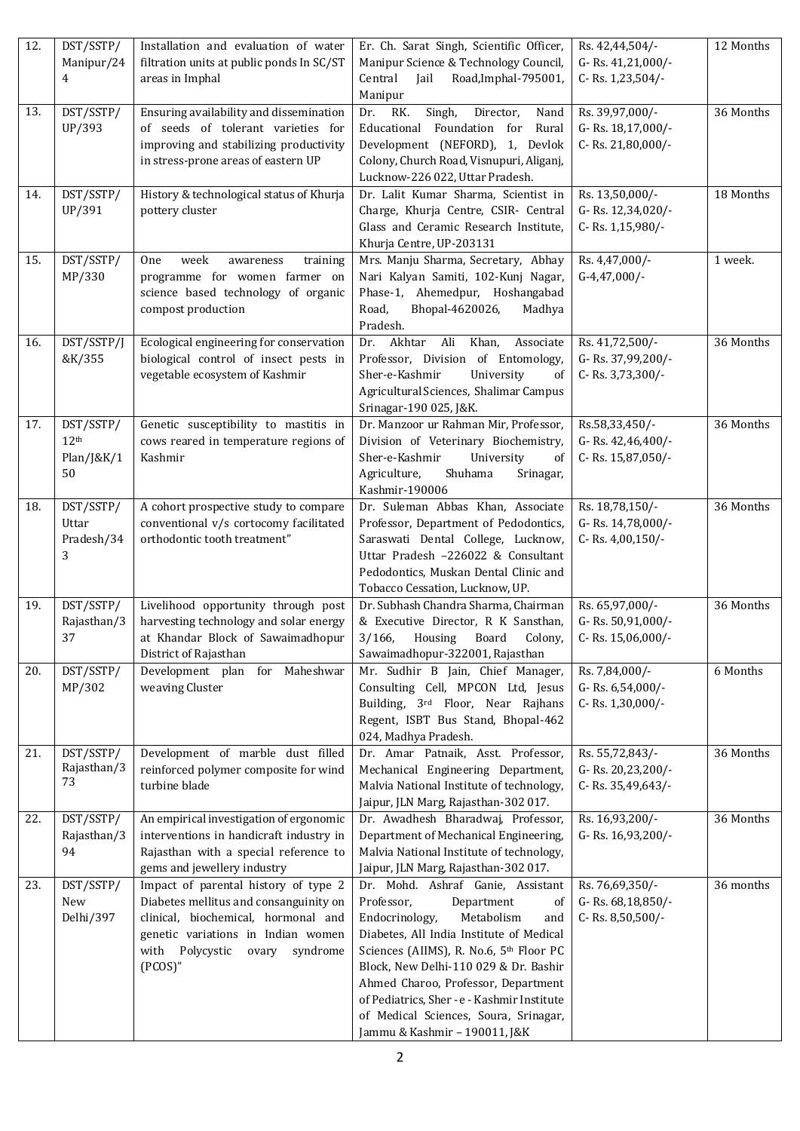| 12. | DST/SSTP/<br>Manipur/24                           | Installation and evaluation of water<br>filtration units at public ponds In SC/ST                                                                                                                               | Er. Ch. Sarat Singh, Scientific Officer,<br>Manipur Science & Technology Council,                                                                                                                                                                                                                                                                                                                          | Rs. 42,44,504/-<br>G-Rs. 41,21,000/-                      | 12 Months |
|-----|---------------------------------------------------|-----------------------------------------------------------------------------------------------------------------------------------------------------------------------------------------------------------------|------------------------------------------------------------------------------------------------------------------------------------------------------------------------------------------------------------------------------------------------------------------------------------------------------------------------------------------------------------------------------------------------------------|-----------------------------------------------------------|-----------|
|     | 4                                                 | areas in Imphal                                                                                                                                                                                                 | Central<br>Road, Imphal-795001,<br>Jail<br>Manipur                                                                                                                                                                                                                                                                                                                                                         | C-Rs. 1,23,504/-                                          |           |
| 13. | DST/SSTP/<br>UP/393                               | Ensuring availability and dissemination<br>of seeds of tolerant varieties for<br>improving and stabilizing productivity<br>in stress-prone areas of eastern UP                                                  | RK.<br>Singh,<br>Director,<br>Dr.<br>Nand<br>Educational Foundation for<br>Rural<br>Development (NEFORD), 1, Devlok<br>Colony, Church Road, Visnupuri, Aliganj,<br>Lucknow-226 022, Uttar Pradesh.                                                                                                                                                                                                         | Rs. 39,97,000/-<br>G-Rs. 18,17,000/-<br>C-Rs. 21,80,000/- | 36 Months |
| 14. | DST/SSTP/<br>UP/391                               | History & technological status of Khurja<br>pottery cluster                                                                                                                                                     | Dr. Lalit Kumar Sharma, Scientist in<br>Charge, Khurja Centre, CSIR- Central<br>Glass and Ceramic Research Institute,<br>Khurja Centre, UP-203131                                                                                                                                                                                                                                                          | Rs. 13,50,000/-<br>G-Rs. 12,34,020/-<br>C-Rs. 1,15,980/-  | 18 Months |
| 15. | DST/SSTP/<br>MP/330                               | One<br>week<br>training<br>awareness<br>programme for women farmer on<br>science based technology of organic<br>compost production                                                                              | Mrs. Manju Sharma, Secretary, Abhay<br>Nari Kalyan Samiti, 102-Kunj Nagar,<br>Phase-1, Ahemedpur, Hoshangabad<br>Bhopal-4620026,<br>Road,<br>Madhya<br>Pradesh.                                                                                                                                                                                                                                            | Rs. 4,47,000/-<br>$G-4,47,000/-$                          | 1 week.   |
| 16. | DST/SSTP/J<br>&K/355                              | Ecological engineering for conservation<br>biological control of insect pests in<br>vegetable ecosystem of Kashmir                                                                                              | Khan,<br>Associate<br>Dr. Akhtar Ali<br>Professor, Division of Entomology,<br>Sher-e-Kashmir<br>University<br>of<br>Agricultural Sciences, Shalimar Campus<br>Srinagar-190 025, J&K.                                                                                                                                                                                                                       | Rs. 41,72,500/-<br>G-Rs. 37,99,200/-<br>C-Rs. 3,73,300/-  | 36 Months |
| 17. | DST/SSTP/<br>12 <sup>th</sup><br>Plan/J&K/1<br>50 | Genetic susceptibility to mastitis in<br>cows reared in temperature regions of<br>Kashmir                                                                                                                       | Dr. Manzoor ur Rahman Mir, Professor,<br>Division of Veterinary Biochemistry,<br>Sher-e-Kashmir<br>University<br>of<br>Agriculture,<br>Shuhama<br>Srinagar,<br>Kashmir-190006                                                                                                                                                                                                                              | Rs.58,33,450/-<br>G-Rs. 42,46,400/-<br>C-Rs. 15,87,050/-  | 36 Months |
| 18. | DST/SSTP/<br>Uttar<br>Pradesh/34<br>3             | A cohort prospective study to compare<br>conventional v/s cortocomy facilitated<br>orthodontic tooth treatment"                                                                                                 | Dr. Suleman Abbas Khan, Associate<br>Professor, Department of Pedodontics,<br>Saraswati Dental College, Lucknow,<br>Uttar Pradesh -226022 & Consultant<br>Pedodontics, Muskan Dental Clinic and<br>Tobacco Cessation, Lucknow, UP.                                                                                                                                                                         | Rs. 18,78,150/-<br>G-Rs. 14,78,000/-<br>C-Rs. 4,00,150/-  | 36 Months |
| 19. | DST/SSTP/<br>Rajasthan/3<br>37                    | Livelihood opportunity through post<br>harvesting technology and solar energy<br>at Khandar Block of Sawaimadhopur<br>District of Rajasthan                                                                     | Dr. Subhash Chandra Sharma, Chairman<br>& Executive Director, R K Sansthan,<br>3/166, Housing Board Colony,<br>Sawaimadhopur-322001, Rajasthan                                                                                                                                                                                                                                                             | Rs. 65,97,000/-<br>G-Rs. 50,91,000/-<br>C-Rs. 15,06,000/- | 36 Months |
| 20. | DST/SSTP/<br>MP/302                               | Development plan for Maheshwar<br>weaving Cluster                                                                                                                                                               | Mr. Sudhir B Jain, Chief Manager,<br>Consulting Cell, MPCON Ltd, Jesus<br>Building, 3rd Floor, Near Rajhans<br>Regent, ISBT Bus Stand, Bhopal-462<br>024, Madhya Pradesh.                                                                                                                                                                                                                                  | Rs. 7,84,000/-<br>G-Rs. 6,54,000/-<br>C-Rs. 1,30,000/-    | 6 Months  |
| 21. | DST/SSTP/<br>Rajasthan/3<br>73                    | Development of marble dust filled<br>reinforced polymer composite for wind<br>turbine blade                                                                                                                     | Dr. Amar Patnaik, Asst. Professor,<br>Mechanical Engineering Department,<br>Malvia National Institute of technology,<br>Jaipur, JLN Marg, Rajasthan-302 017.                                                                                                                                                                                                                                               | Rs. 55,72,843/-<br>G-Rs. 20,23,200/-<br>C-Rs. 35,49,643/- | 36 Months |
| 22. | DST/SSTP/<br>Rajasthan/3<br>94                    | An empirical investigation of ergonomic<br>interventions in handicraft industry in<br>Rajasthan with a special reference to<br>gems and jewellery industry                                                      | Dr. Awadhesh Bharadwaj, Professor,<br>Department of Mechanical Engineering,<br>Malvia National Institute of technology,<br>Jaipur, JLN Marg, Rajasthan-302 017.                                                                                                                                                                                                                                            | Rs. 16,93,200/-<br>G-Rs. 16,93,200/-                      | 36 Months |
| 23. | DST/SSTP/<br>New<br>Delhi/397                     | Impact of parental history of type 2<br>Diabetes mellitus and consanguinity on<br>clinical, biochemical, hormonal and<br>genetic variations in Indian women<br>with Polycystic<br>ovary<br>syndrome<br>(PCOS)'' | Dr. Mohd. Ashraf Ganie, Assistant<br>Department<br>Professor,<br>of<br>Endocrinology,<br>Metabolism<br>and<br>Diabetes, All India Institute of Medical<br>Sciences (AIIMS), R. No.6, 5th Floor PC<br>Block, New Delhi-110 029 & Dr. Bashir<br>Ahmed Charoo, Professor, Department<br>of Pediatrics, Sher - e - Kashmir Institute<br>of Medical Sciences, Soura, Srinagar,<br>Jammu & Kashmir - 190011, J&K | Rs. 76,69,350/-<br>G-Rs. 68,18,850/-<br>C-Rs. 8,50,500/-  | 36 months |